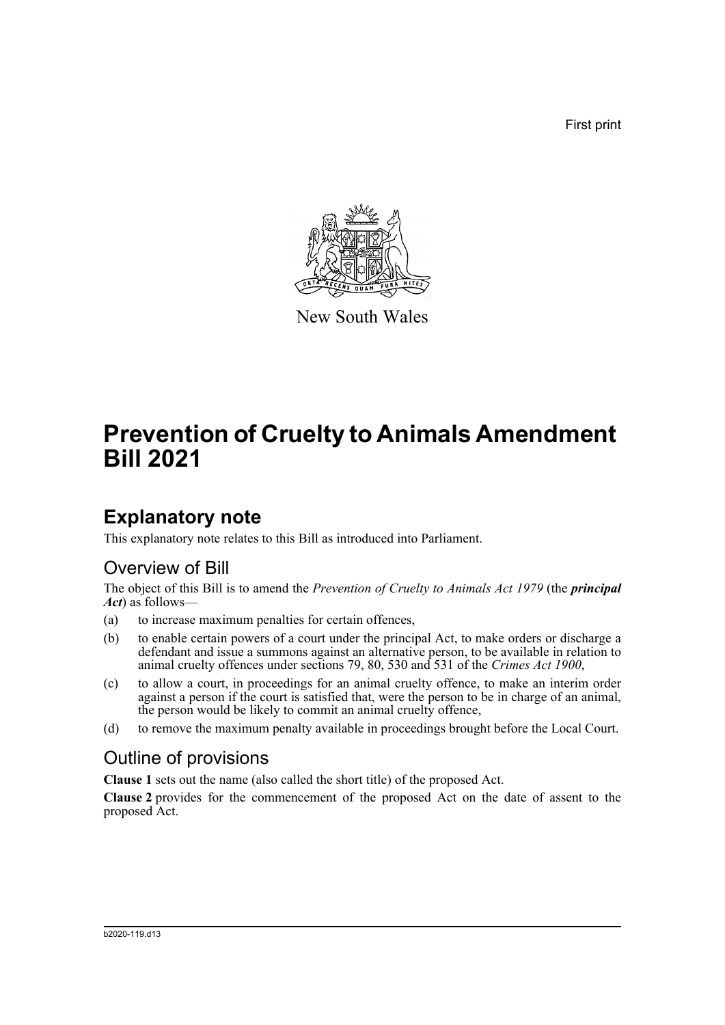First print



New South Wales

# **Prevention of Cruelty to Animals Amendment Bill 2021**

## **Explanatory note**

This explanatory note relates to this Bill as introduced into Parliament.

### Overview of Bill

The object of this Bill is to amend the *Prevention of Cruelty to Animals Act 1979* (the *principal Act*) as follows—

- (a) to increase maximum penalties for certain offences,
- (b) to enable certain powers of a court under the principal Act, to make orders or discharge a defendant and issue a summons against an alternative person, to be available in relation to animal cruelty offences under sections 79, 80, 530 and 531 of the *Crimes Act 1900*,
- (c) to allow a court, in proceedings for an animal cruelty offence, to make an interim order against a person if the court is satisfied that, were the person to be in charge of an animal, the person would be likely to commit an animal cruelty offence,
- (d) to remove the maximum penalty available in proceedings brought before the Local Court.

## Outline of provisions

**Clause 1** sets out the name (also called the short title) of the proposed Act.

**Clause 2** provides for the commencement of the proposed Act on the date of assent to the proposed Act.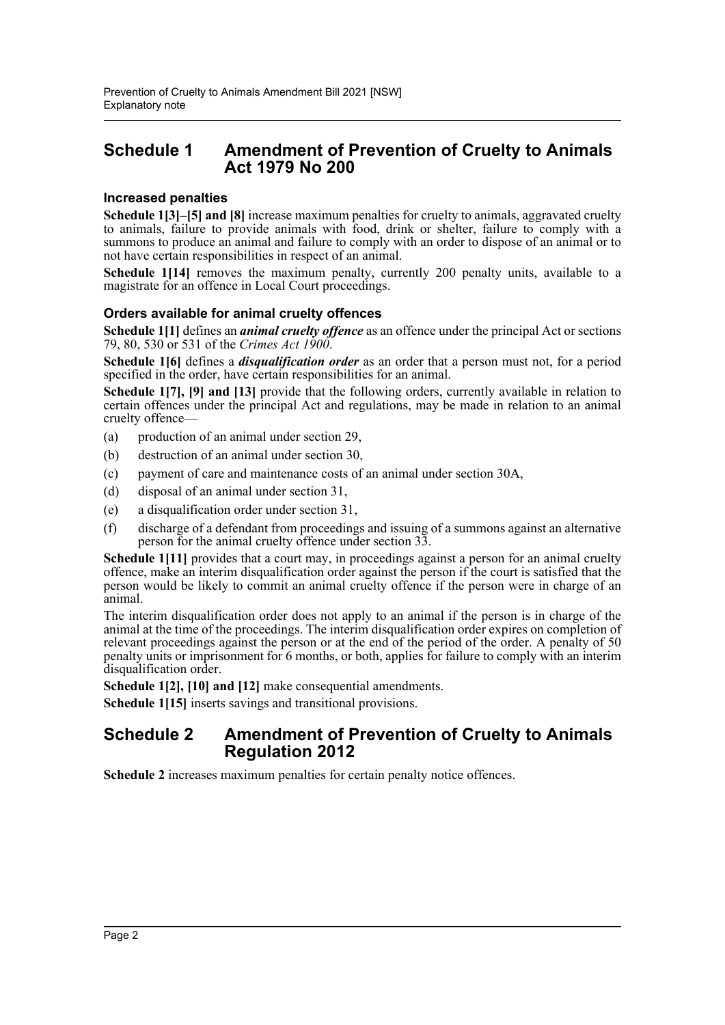#### **Schedule 1 Amendment of Prevention of Cruelty to Animals Act 1979 No 200**

#### **Increased penalties**

**Schedule 1[3]–[5] and [8]** increase maximum penalties for cruelty to animals, aggravated cruelty to animals, failure to provide animals with food, drink or shelter, failure to comply with a summons to produce an animal and failure to comply with an order to dispose of an animal or to not have certain responsibilities in respect of an animal.

**Schedule 1[14]** removes the maximum penalty, currently 200 penalty units, available to a magistrate for an offence in Local Court proceedings.

#### **Orders available for animal cruelty offences**

**Schedule 1[1]** defines an *animal cruelty offence* as an offence under the principal Act or sections 79, 80, 530 or 531 of the *Crimes Act 1900*.

**Schedule 1[6]** defines a *disqualification order* as an order that a person must not, for a period specified in the order, have certain responsibilities for an animal.

**Schedule 1[7], [9] and [13]** provide that the following orders, currently available in relation to certain offences under the principal Act and regulations, may be made in relation to an animal cruelty offence—

- (a) production of an animal under section 29,
- (b) destruction of an animal under section 30,
- (c) payment of care and maintenance costs of an animal under section 30A,
- (d) disposal of an animal under section 31,
- (e) a disqualification order under section 31,
- (f) discharge of a defendant from proceedings and issuing of a summons against an alternative person for the animal cruelty offence under section 33.

**Schedule 1[11]** provides that a court may, in proceedings against a person for an animal cruelty offence, make an interim disqualification order against the person if the court is satisfied that the person would be likely to commit an animal cruelty offence if the person were in charge of an animal.

The interim disqualification order does not apply to an animal if the person is in charge of the animal at the time of the proceedings. The interim disqualification order expires on completion of relevant proceedings against the person or at the end of the period of the order. A penalty of 50 penalty units or imprisonment for 6 months, or both, applies for failure to comply with an interim disqualification order.

**Schedule 1[2], [10] and [12]** make consequential amendments.

**Schedule 1[15]** inserts savings and transitional provisions.

#### **Schedule 2 Amendment of Prevention of Cruelty to Animals Regulation 2012**

**Schedule 2** increases maximum penalties for certain penalty notice offences.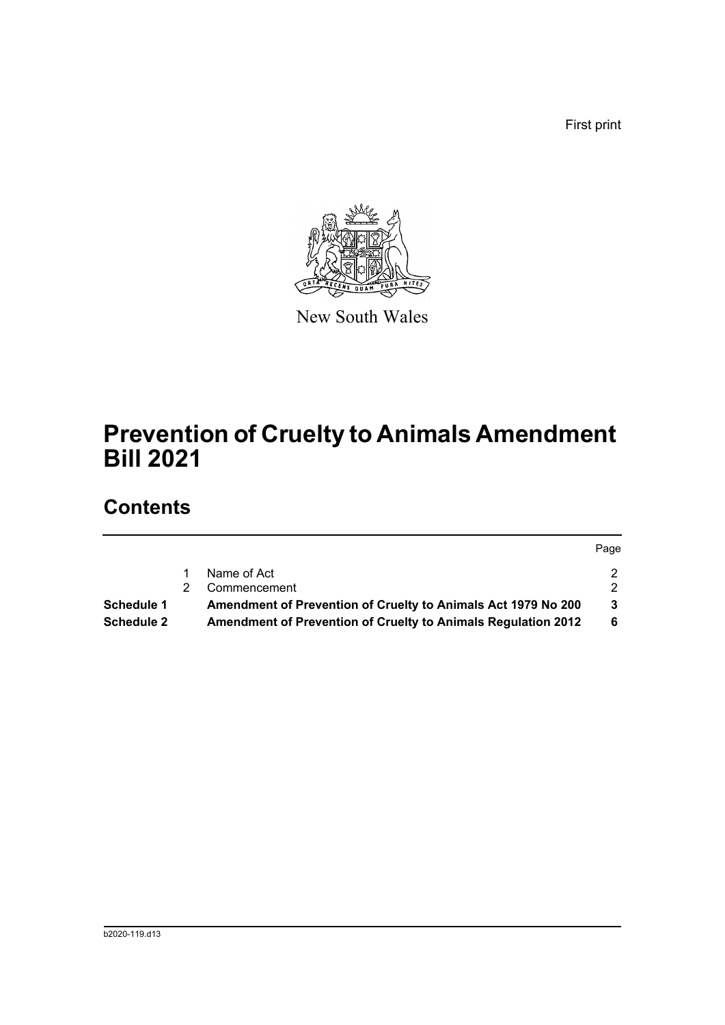First print



New South Wales

# **Prevention of Cruelty to Animals Amendment Bill 2021**

## **Contents**

|                   |                                                                      | Page |
|-------------------|----------------------------------------------------------------------|------|
|                   | Name of Act                                                          | 2    |
|                   | Commencement                                                         | 2    |
| Schedule 1        | Amendment of Prevention of Cruelty to Animals Act 1979 No 200        | 3    |
| <b>Schedule 2</b> | <b>Amendment of Prevention of Cruelty to Animals Regulation 2012</b> | 6    |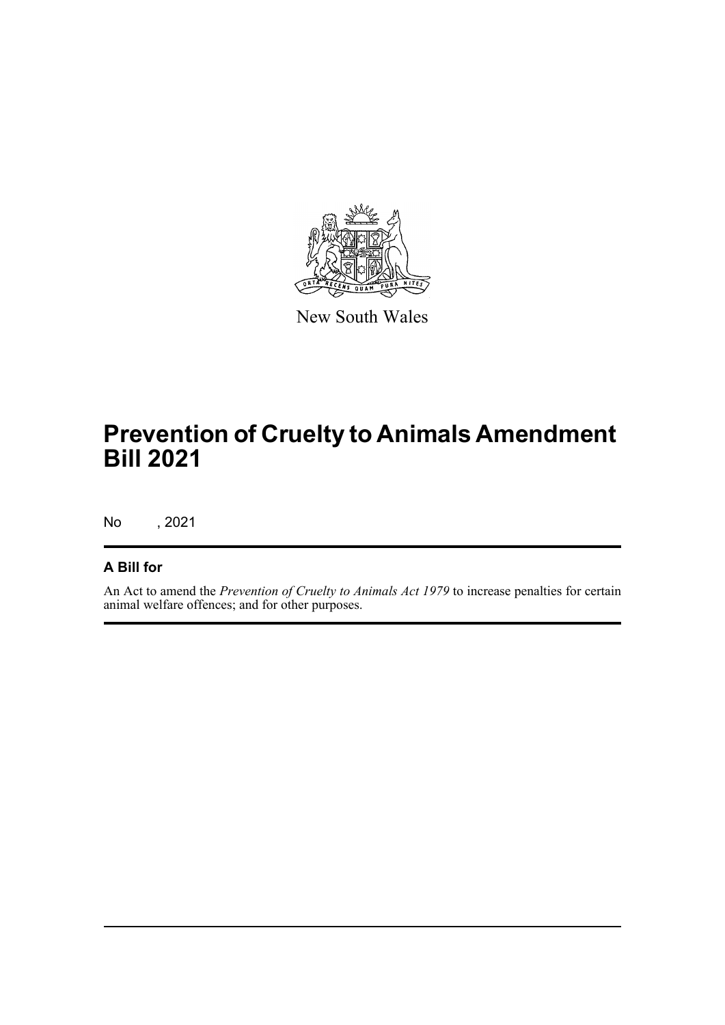

New South Wales

# **Prevention of Cruelty to Animals Amendment Bill 2021**

No , 2021

#### **A Bill for**

An Act to amend the *Prevention of Cruelty to Animals Act 1979* to increase penalties for certain animal welfare offences; and for other purposes.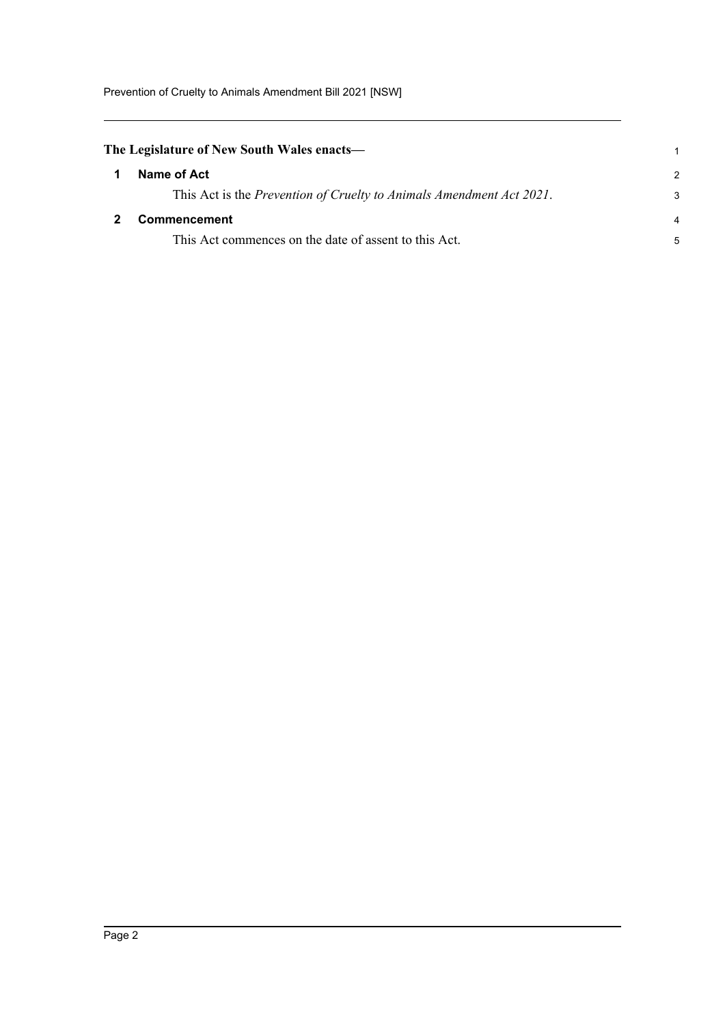Prevention of Cruelty to Animals Amendment Bill 2021 [NSW]

<span id="page-4-1"></span><span id="page-4-0"></span>

| The Legislature of New South Wales enacts—                           |                |
|----------------------------------------------------------------------|----------------|
| Name of Act                                                          | $\mathcal{P}$  |
| This Act is the Prevention of Cruelty to Animals Amendment Act 2021. | 3              |
| <b>Commencement</b>                                                  | $\overline{a}$ |
| This Act commences on the date of assent to this Act.                | 5              |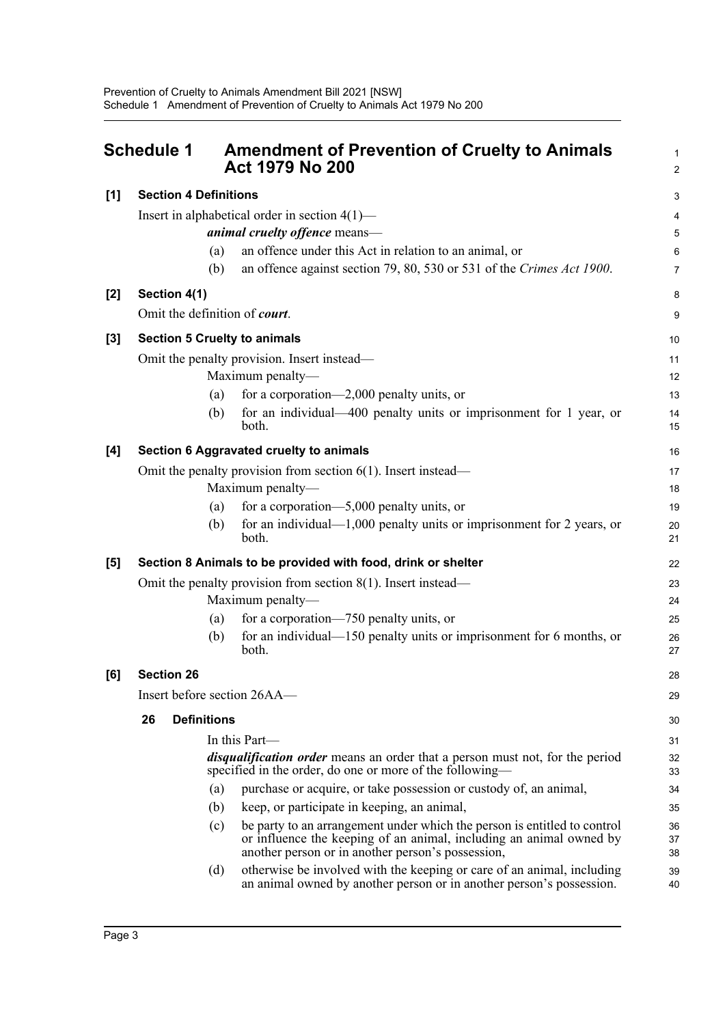<span id="page-5-0"></span>

|     | <b>Schedule 1</b>                                                |                    | <b>Amendment of Prevention of Cruelty to Animals</b><br><b>Act 1979 No 200</b>                                                                                                                       | $\mathbf{1}$<br>$\boldsymbol{2}$ |
|-----|------------------------------------------------------------------|--------------------|------------------------------------------------------------------------------------------------------------------------------------------------------------------------------------------------------|----------------------------------|
| [1] | <b>Section 4 Definitions</b>                                     |                    |                                                                                                                                                                                                      | 3                                |
|     | Insert in alphabetical order in section $4(1)$ —                 |                    |                                                                                                                                                                                                      |                                  |
|     |                                                                  |                    | animal cruelty offence means-                                                                                                                                                                        | 5                                |
|     |                                                                  | (a)                | an offence under this Act in relation to an animal, or                                                                                                                                               | $\,6$                            |
|     |                                                                  | (b)                | an offence against section 79, 80, 530 or 531 of the Crimes Act 1900.                                                                                                                                | $\overline{7}$                   |
| [2] |                                                                  | Section 4(1)       |                                                                                                                                                                                                      | 8                                |
|     |                                                                  |                    | Omit the definition of court.                                                                                                                                                                        | 9                                |
| [3] |                                                                  |                    | <b>Section 5 Cruelty to animals</b>                                                                                                                                                                  | 10                               |
|     |                                                                  |                    | Omit the penalty provision. Insert instead—                                                                                                                                                          | 11                               |
|     |                                                                  |                    | Maximum penalty-                                                                                                                                                                                     | 12                               |
|     |                                                                  | (a)                | for a corporation—2,000 penalty units, or                                                                                                                                                            | 13                               |
|     |                                                                  | (b)                | for an individual—400 penalty units or imprisonment for 1 year, or<br>both.                                                                                                                          | 14<br>15                         |
| [4] | Section 6 Aggravated cruelty to animals                          |                    |                                                                                                                                                                                                      | 16                               |
|     | Omit the penalty provision from section $6(1)$ . Insert instead— |                    |                                                                                                                                                                                                      |                                  |
|     |                                                                  |                    | Maximum penalty-                                                                                                                                                                                     | 18                               |
|     |                                                                  | (a)                | for a corporation— $5,000$ penalty units, or                                                                                                                                                         | 19                               |
|     |                                                                  | (b)                | for an individual— $1,000$ penalty units or imprisonment for 2 years, or<br>both.                                                                                                                    | 20<br>21                         |
| [5] |                                                                  |                    | Section 8 Animals to be provided with food, drink or shelter                                                                                                                                         | 22                               |
|     |                                                                  |                    | Omit the penalty provision from section $8(1)$ . Insert instead—                                                                                                                                     | 23                               |
|     |                                                                  |                    | Maximum penalty-                                                                                                                                                                                     | 24                               |
|     |                                                                  | (a)                | for a corporation—750 penalty units, or                                                                                                                                                              | 25                               |
|     |                                                                  | (b)                | for an individual— $150$ penalty units or imprisonment for 6 months, or<br>both.                                                                                                                     | 26<br>27                         |
| [6] | <b>Section 26</b>                                                |                    |                                                                                                                                                                                                      | 28                               |
|     | Insert before section 26AA—                                      |                    |                                                                                                                                                                                                      | 29                               |
|     | 26                                                               | <b>Definitions</b> |                                                                                                                                                                                                      | 30                               |
|     |                                                                  |                    | In this Part-                                                                                                                                                                                        | 31                               |
|     |                                                                  |                    | <i>disqualification order</i> means an order that a person must not, for the period<br>specified in the order, do one or more of the following—                                                      | 32<br>33                         |
|     |                                                                  | (a)                | purchase or acquire, or take possession or custody of, an animal,                                                                                                                                    | 34                               |
|     |                                                                  | (b)                | keep, or participate in keeping, an animal,                                                                                                                                                          | 35                               |
|     |                                                                  | (c)                | be party to an arrangement under which the person is entitled to control<br>or influence the keeping of an animal, including an animal owned by<br>another person or in another person's possession, | 36<br>37<br>38                   |
|     |                                                                  | (d)                | otherwise be involved with the keeping or care of an animal, including<br>an animal owned by another person or in another person's possession.                                                       | 39<br>40                         |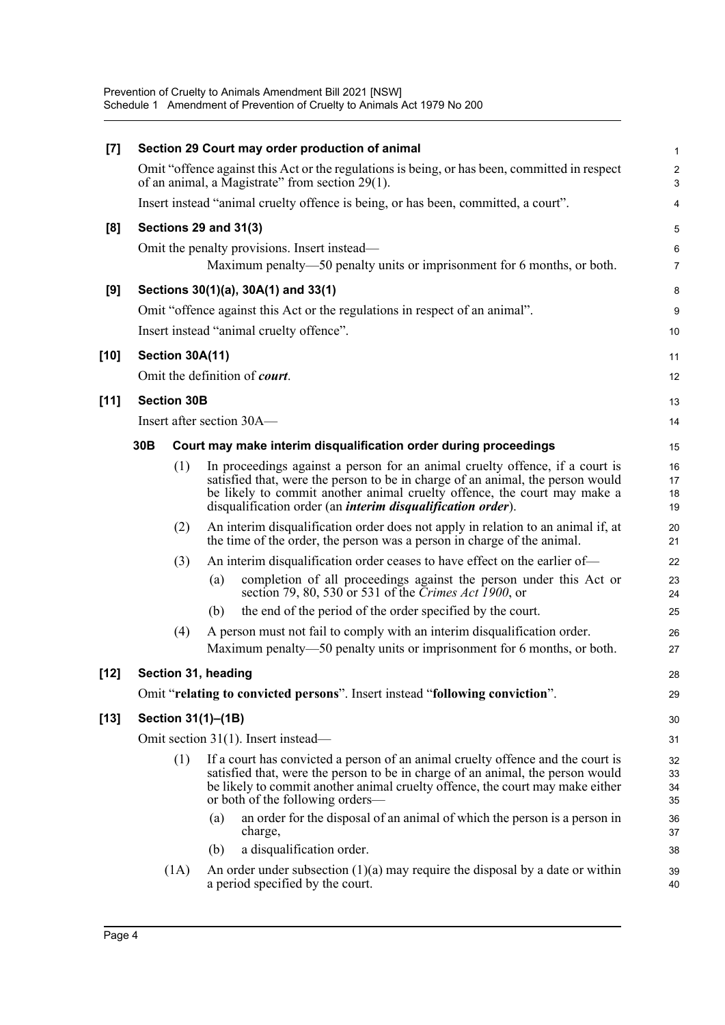Prevention of Cruelty to Animals Amendment Bill 2021 [NSW] Schedule 1 Amendment of Prevention of Cruelty to Animals Act 1979 No 200

| [7]    | Section 29 Court may order production of animal |                       |     | $\mathbf{1}$                                                                                                                                                                                                                                                                                                      |                           |
|--------|-------------------------------------------------|-----------------------|-----|-------------------------------------------------------------------------------------------------------------------------------------------------------------------------------------------------------------------------------------------------------------------------------------------------------------------|---------------------------|
|        |                                                 |                       |     | Omit "offence against this Act or the regulations is being, or has been, committed in respect<br>of an animal, a Magistrate" from section 29(1).                                                                                                                                                                  | $\sqrt{2}$<br>3           |
|        |                                                 |                       |     | Insert instead "animal cruelty offence is being, or has been, committed, a court".                                                                                                                                                                                                                                | 4                         |
| [8]    |                                                 | Sections 29 and 31(3) |     |                                                                                                                                                                                                                                                                                                                   | 5                         |
|        |                                                 |                       |     | Omit the penalty provisions. Insert instead—<br>Maximum penalty—50 penalty units or imprisonment for 6 months, or both.                                                                                                                                                                                           | $\,6\,$<br>$\overline{7}$ |
| [9]    |                                                 |                       |     | Sections 30(1)(a), 30A(1) and 33(1)                                                                                                                                                                                                                                                                               | 8                         |
|        |                                                 |                       |     | Omit "offence against this Act or the regulations in respect of an animal".                                                                                                                                                                                                                                       | 9                         |
|        |                                                 |                       |     | Insert instead "animal cruelty offence".                                                                                                                                                                                                                                                                          | 10                        |
| $[10]$ |                                                 | Section 30A(11)       |     |                                                                                                                                                                                                                                                                                                                   | 11                        |
|        |                                                 |                       |     | Omit the definition of <i>court</i> .                                                                                                                                                                                                                                                                             | 12                        |
| [11]   |                                                 | <b>Section 30B</b>    |     |                                                                                                                                                                                                                                                                                                                   | 13                        |
|        |                                                 |                       |     | Insert after section 30A—                                                                                                                                                                                                                                                                                         | 14                        |
|        | 30 <sub>B</sub>                                 |                       |     | Court may make interim disqualification order during proceedings                                                                                                                                                                                                                                                  | 15                        |
|        |                                                 | (1)                   |     | In proceedings against a person for an animal cruelty offence, if a court is<br>satisfied that, were the person to be in charge of an animal, the person would<br>be likely to commit another animal cruelty offence, the court may make a<br>disqualification order (an <i>interim disqualification order</i> ). | 16<br>17<br>18<br>19      |
|        |                                                 | (2)                   |     | An interim disqualification order does not apply in relation to an animal if, at<br>the time of the order, the person was a person in charge of the animal.                                                                                                                                                       | 20<br>21                  |
|        |                                                 | (3)                   |     | An interim disqualification order ceases to have effect on the earlier of—                                                                                                                                                                                                                                        | 22                        |
|        |                                                 |                       | (a) | completion of all proceedings against the person under this Act or<br>section 79, 80, 530 or 531 of the <i>Crimes Act</i> 1900, or                                                                                                                                                                                | 23<br>24                  |
|        |                                                 |                       | (b) | the end of the period of the order specified by the court.                                                                                                                                                                                                                                                        | 25                        |
|        |                                                 | (4)                   |     | A person must not fail to comply with an interim disqualification order.                                                                                                                                                                                                                                          | 26                        |
|        |                                                 |                       |     | Maximum penalty—50 penalty units or imprisonment for 6 months, or both.                                                                                                                                                                                                                                           | 27                        |
| $[12]$ |                                                 | Section 31, heading   |     |                                                                                                                                                                                                                                                                                                                   | 28                        |
|        |                                                 |                       |     | Omit "relating to convicted persons". Insert instead "following conviction".                                                                                                                                                                                                                                      | 29                        |
| $[13]$ |                                                 | Section 31(1)-(1B)    |     |                                                                                                                                                                                                                                                                                                                   |                           |
|        |                                                 |                       |     | Omit section 31(1). Insert instead—                                                                                                                                                                                                                                                                               | 31                        |
|        |                                                 | (1)                   |     | If a court has convicted a person of an animal cruelty offence and the court is<br>satisfied that, were the person to be in charge of an animal, the person would<br>be likely to commit another animal cruelty offence, the court may make either<br>or both of the following orders—                            | 32<br>33<br>34<br>35      |
|        |                                                 |                       | (a) | an order for the disposal of an animal of which the person is a person in<br>charge,                                                                                                                                                                                                                              | 36<br>37                  |
|        |                                                 |                       | (b) | a disqualification order.                                                                                                                                                                                                                                                                                         | 38                        |
|        |                                                 | (1A)                  |     | An order under subsection $(1)(a)$ may require the disposal by a date or within<br>a period specified by the court.                                                                                                                                                                                               | 39<br>40                  |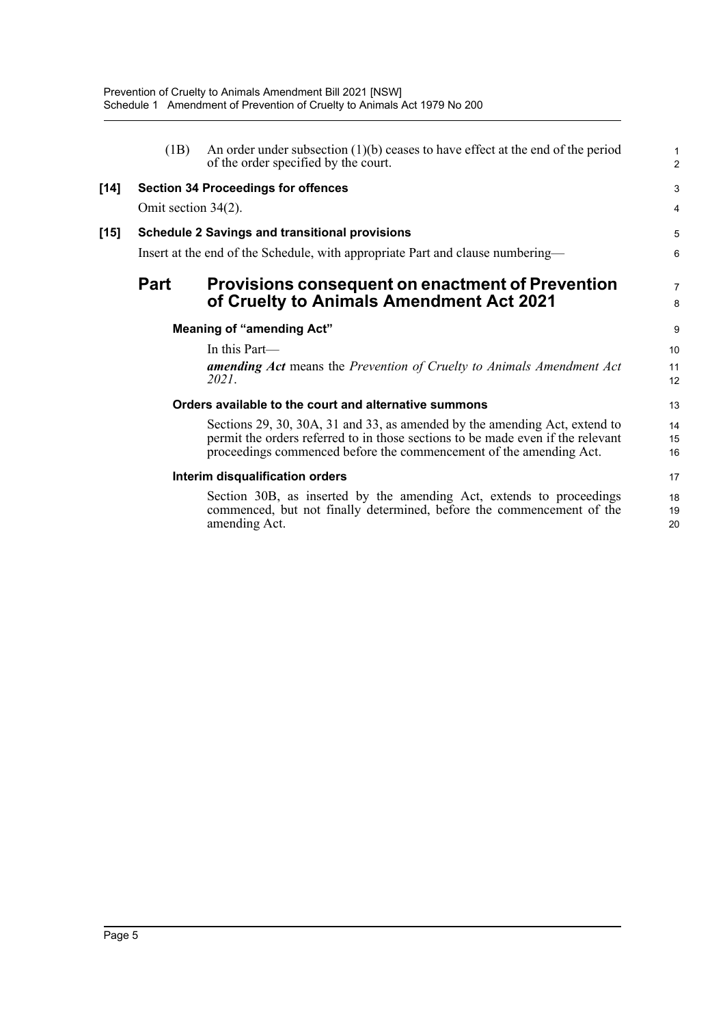|      | (1B)                                                  | An order under subsection $(1)(b)$ ceases to have effect at the end of the period<br>of the order specified by the court.                                                                                                           | 1<br>$\overline{\mathbf{c}}$ |
|------|-------------------------------------------------------|-------------------------------------------------------------------------------------------------------------------------------------------------------------------------------------------------------------------------------------|------------------------------|
| [14] |                                                       | <b>Section 34 Proceedings for offences</b>                                                                                                                                                                                          | 3                            |
|      | Omit section 34(2).                                   |                                                                                                                                                                                                                                     | 4                            |
| [15] | <b>Schedule 2 Savings and transitional provisions</b> |                                                                                                                                                                                                                                     |                              |
|      |                                                       | Insert at the end of the Schedule, with appropriate Part and clause numbering—                                                                                                                                                      | 6                            |
|      | <b>Part</b>                                           | <b>Provisions consequent on enactment of Prevention</b>                                                                                                                                                                             | 7                            |
|      |                                                       | of Cruelty to Animals Amendment Act 2021                                                                                                                                                                                            | 8                            |
|      |                                                       | <b>Meaning of "amending Act"</b>                                                                                                                                                                                                    | 9                            |
|      |                                                       | In this Part-                                                                                                                                                                                                                       | 10                           |
|      |                                                       | <b>amending Act</b> means the Prevention of Cruelty to Animals Amendment Act<br>2021.                                                                                                                                               | 11<br>12                     |
|      |                                                       | Orders available to the court and alternative summons                                                                                                                                                                               | 13                           |
|      |                                                       | Sections 29, 30, 30A, 31 and 33, as amended by the amending Act, extend to<br>permit the orders referred to in those sections to be made even if the relevant<br>proceedings commenced before the commencement of the amending Act. | 14<br>15<br>16               |
|      |                                                       | Interim disqualification orders                                                                                                                                                                                                     | 17                           |
|      |                                                       | Section 30B, as inserted by the amending Act, extends to proceedings<br>commenced, but not finally determined, before the commencement of the<br>amending Act.                                                                      | 18<br>19<br>20               |
|      |                                                       |                                                                                                                                                                                                                                     |                              |

**[14] Section 34 Proceedings for offences**